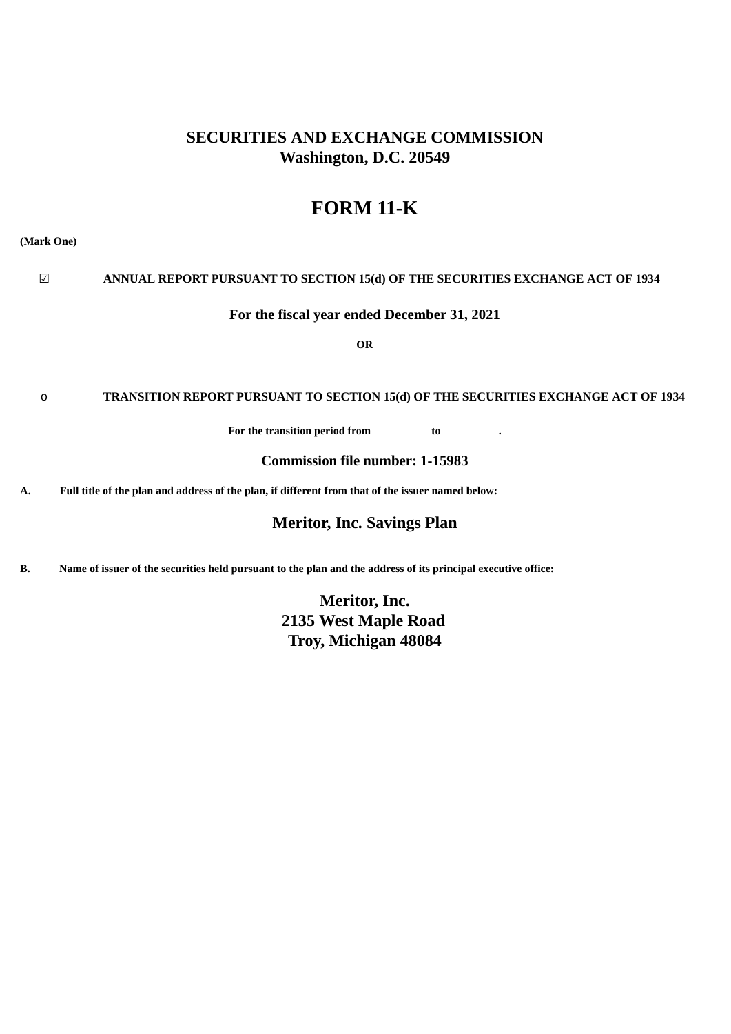# **SECURITIES AND EXCHANGE COMMISSION Washington, D.C. 20549**

# **FORM 11-K**

**(Mark One)**

## ☑ **ANNUAL REPORT PURSUANT TO SECTION 15(d) OF THE SECURITIES EXCHANGE ACT OF 1934**

### **For the fiscal year ended December 31, 2021**

**OR**

### o **TRANSITION REPORT PURSUANT TO SECTION 15(d) OF THE SECURITIES EXCHANGE ACT OF 1934**

**For the transition period from to .**

**Commission file number: 1-15983**

A. Full title of the plan and address of the plan, if different from that of the issuer named below:

# **Meritor, Inc. Savings Plan**

B. Name of issuer of the securities held pursuant to the plan and the address of its principal executive office:

**Meritor, Inc. 2135 West Maple Road Troy, Michigan 48084**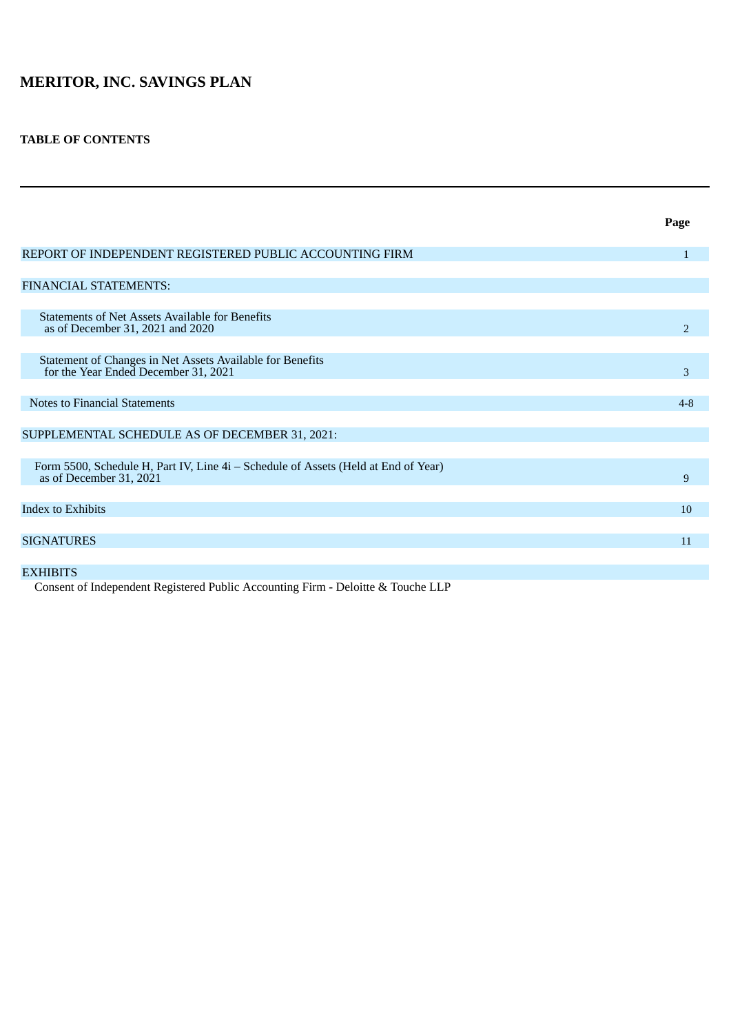## **TABLE OF CONTENTS**

|                                                                                                               | Page    |
|---------------------------------------------------------------------------------------------------------------|---------|
| REPORT OF INDEPENDENT REGISTERED PUBLIC ACCOUNTING FIRM                                                       |         |
|                                                                                                               |         |
| <b>FINANCIAL STATEMENTS:</b>                                                                                  |         |
|                                                                                                               |         |
| Statements of Net Assets Available for Benefits<br>as of December 31, 2021 and 2020                           | 2       |
|                                                                                                               |         |
| Statement of Changes in Net Assets Available for Benefits<br>for the Year Ended December 31, 2021             | 3       |
|                                                                                                               |         |
| Notes to Financial Statements                                                                                 | $4 - 8$ |
|                                                                                                               |         |
| SUPPLEMENTAL SCHEDULE AS OF DECEMBER 31, 2021:                                                                |         |
|                                                                                                               |         |
| Form 5500, Schedule H, Part IV, Line 4i – Schedule of Assets (Held at End of Year)<br>as of December 31, 2021 | 9       |
|                                                                                                               |         |
| Index to Exhibits                                                                                             | 10      |
|                                                                                                               |         |
| <b>SIGNATURES</b>                                                                                             | 11      |
|                                                                                                               |         |
| <b>EXHIBITS</b>                                                                                               |         |

Consent of Independent Registered Public Accounting Firm - Deloitte & Touche LLP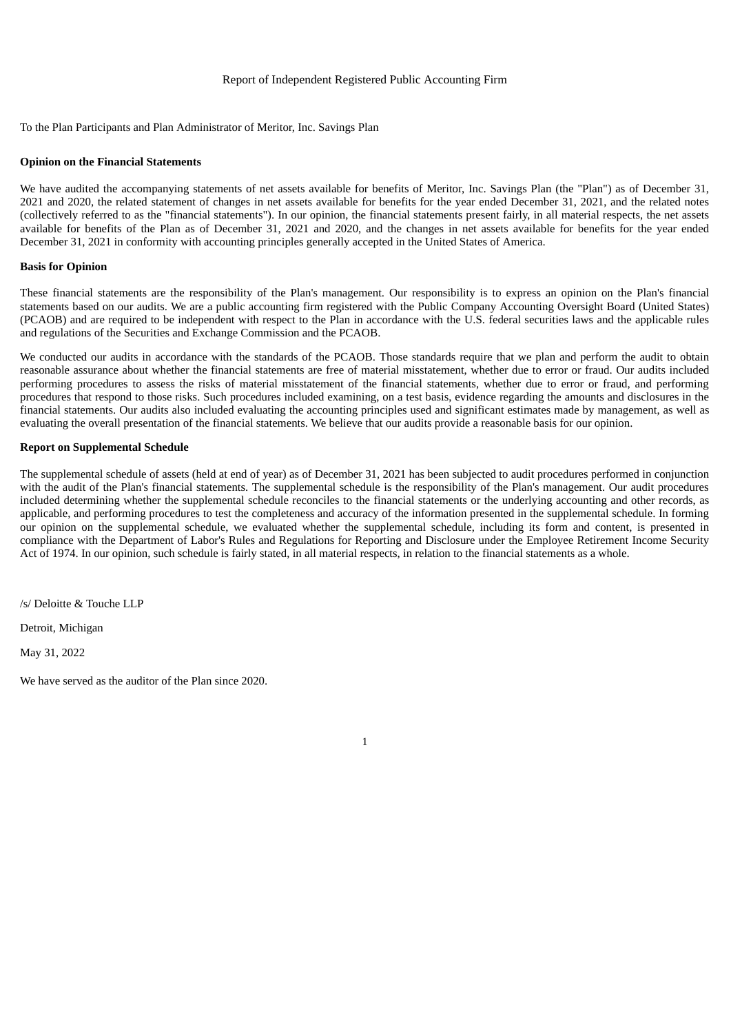#### Report of Independent Registered Public Accounting Firm

To the Plan Participants and Plan Administrator of Meritor, Inc. Savings Plan

#### **Opinion on the Financial Statements**

We have audited the accompanying statements of net assets available for benefits of Meritor, Inc. Savings Plan (the "Plan") as of December 31, 2021 and 2020, the related statement of changes in net assets available for benefits for the year ended December 31, 2021, and the related notes (collectively referred to as the "financial statements"). In our opinion, the financial statements present fairly, in all material respects, the net assets available for benefits of the Plan as of December 31, 2021 and 2020, and the changes in net assets available for benefits for the year ended December 31, 2021 in conformity with accounting principles generally accepted in the United States of America.

#### **Basis for Opinion**

These financial statements are the responsibility of the Plan's management. Our responsibility is to express an opinion on the Plan's financial statements based on our audits. We are a public accounting firm registered with the Public Company Accounting Oversight Board (United States) (PCAOB) and are required to be independent with respect to the Plan in accordance with the U.S. federal securities laws and the applicable rules and regulations of the Securities and Exchange Commission and the PCAOB.

We conducted our audits in accordance with the standards of the PCAOB. Those standards require that we plan and perform the audit to obtain reasonable assurance about whether the financial statements are free of material misstatement, whether due to error or fraud. Our audits included performing procedures to assess the risks of material misstatement of the financial statements, whether due to error or fraud, and performing procedures that respond to those risks. Such procedures included examining, on a test basis, evidence regarding the amounts and disclosures in the financial statements. Our audits also included evaluating the accounting principles used and significant estimates made by management, as well as evaluating the overall presentation of the financial statements. We believe that our audits provide a reasonable basis for our opinion.

#### **Report on Supplemental Schedule**

The supplemental schedule of assets (held at end of year) as of December 31, 2021 has been subjected to audit procedures performed in conjunction with the audit of the Plan's financial statements. The supplemental schedule is the responsibility of the Plan's management. Our audit procedures included determining whether the supplemental schedule reconciles to the financial statements or the underlying accounting and other records, as applicable, and performing procedures to test the completeness and accuracy of the information presented in the supplemental schedule. In forming our opinion on the supplemental schedule, we evaluated whether the supplemental schedule, including its form and content, is presented in compliance with the Department of Labor's Rules and Regulations for Reporting and Disclosure under the Employee Retirement Income Security Act of 1974. In our opinion, such schedule is fairly stated, in all material respects, in relation to the financial statements as a whole.

/s/ Deloitte & Touche LLP

Detroit, Michigan

May 31, 2022

We have served as the auditor of the Plan since 2020.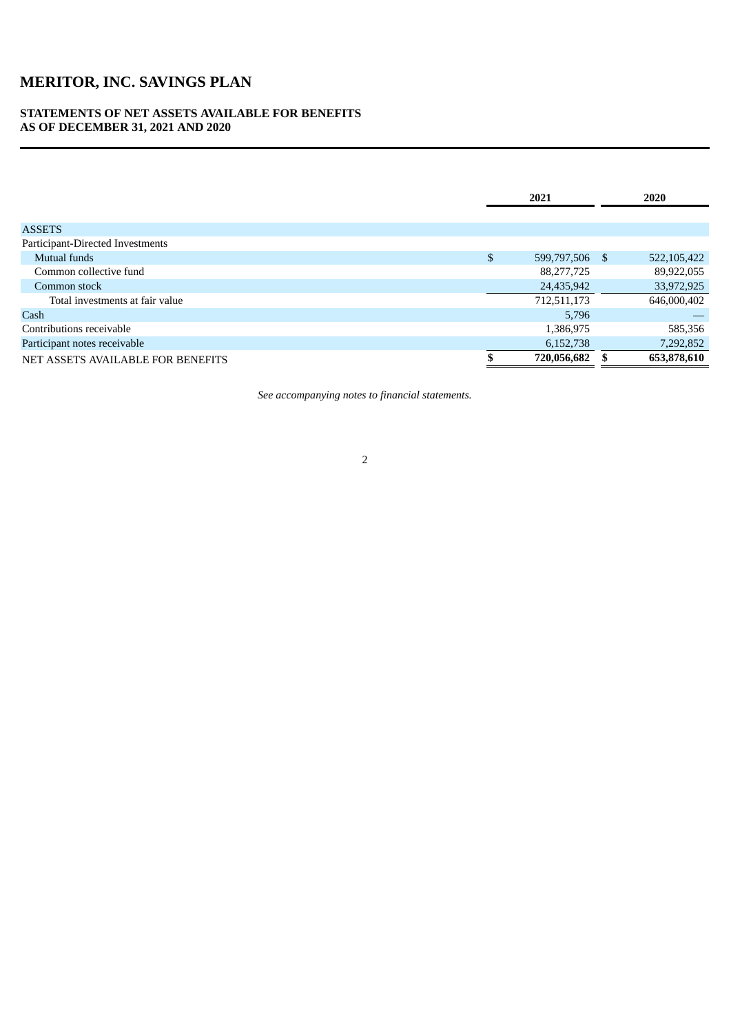### **STATEMENTS OF NET ASSETS AVAILABLE FOR BENEFITS AS OF DECEMBER 31, 2021 AND 2020**

|                                   | 2021              |      | 2020        |  |
|-----------------------------------|-------------------|------|-------------|--|
|                                   |                   |      |             |  |
| <b>ASSETS</b>                     |                   |      |             |  |
| Participant-Directed Investments  |                   |      |             |  |
| <b>Mutual funds</b>               | \$<br>599,797,506 | - \$ | 522,105,422 |  |
| Common collective fund            | 88,277,725        |      | 89,922,055  |  |
| Common stock                      | 24,435,942        |      | 33,972,925  |  |
| Total investments at fair value   | 712,511,173       |      | 646,000,402 |  |
| Cash                              | 5.796             |      |             |  |
| Contributions receivable          | 1,386,975         |      | 585,356     |  |
| Participant notes receivable      | 6,152,738         |      | 7,292,852   |  |
| NET ASSETS AVAILABLE FOR BENEFITS | 720,056,682       |      | 653,878,610 |  |

*See accompanying notes to financial statements.*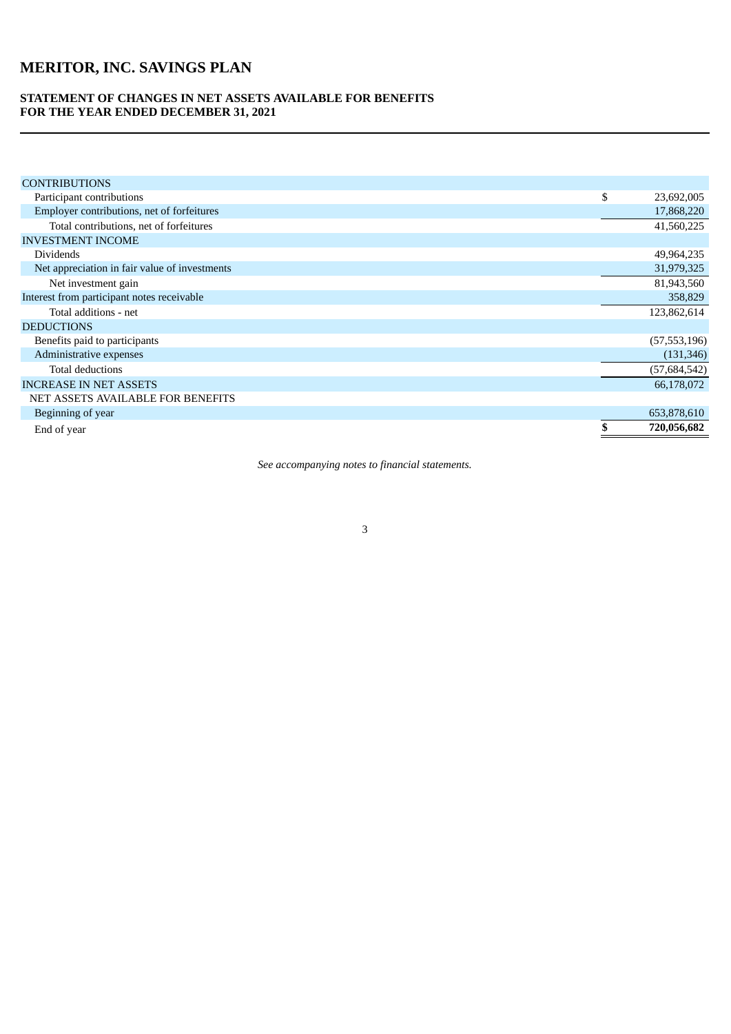### **STATEMENT OF CHANGES IN NET ASSETS AVAILABLE FOR BENEFITS FOR THE YEAR ENDED DECEMBER 31, 2021**

| <b>CONTRIBUTIONS</b>                          |                  |
|-----------------------------------------------|------------------|
| Participant contributions                     | \$<br>23,692,005 |
| Employer contributions, net of forfeitures    | 17,868,220       |
| Total contributions, net of forfeitures       | 41,560,225       |
| <b>INVESTMENT INCOME</b>                      |                  |
| <b>Dividends</b>                              | 49,964,235       |
| Net appreciation in fair value of investments | 31,979,325       |
| Net investment gain                           | 81,943,560       |
| Interest from participant notes receivable    | 358,829          |
| Total additions - net                         | 123,862,614      |
| <b>DEDUCTIONS</b>                             |                  |
| Benefits paid to participants                 | (57, 553, 196)   |
| Administrative expenses                       | (131, 346)       |
| Total deductions                              | (57,684,542)     |
| <b>INCREASE IN NET ASSETS</b>                 | 66,178,072       |
| <b>NET ASSETS AVAILABLE FOR BENEFITS</b>      |                  |
| Beginning of year                             | 653,878,610      |
| End of year                                   | 720,056,682      |
|                                               |                  |

*See accompanying notes to financial statements.*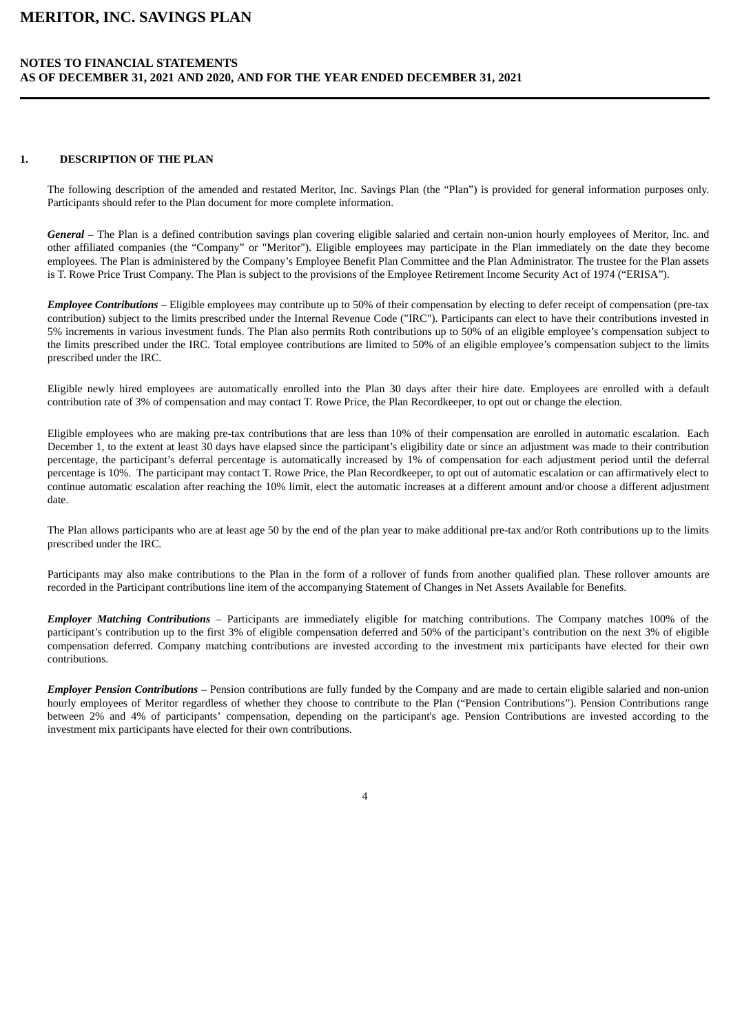### **NOTES TO FINANCIAL STATEMENTS AS OF DECEMBER 31, 2021 AND 2020, AND FOR THE YEAR ENDED DECEMBER 31, 2021**

#### **1. DESCRIPTION OF THE PLAN**

The following description of the amended and restated Meritor, Inc. Savings Plan (the "Plan") is provided for general information purposes only. Participants should refer to the Plan document for more complete information.

*General* – The Plan is a defined contribution savings plan covering eligible salaried and certain non-union hourly employees of Meritor, Inc. and other affiliated companies (the "Company" or "Meritor"). Eligible employees may participate in the Plan immediately on the date they become employees. The Plan is administered by the Company's Employee Benefit Plan Committee and the Plan Administrator. The trustee for the Plan assets is T. Rowe Price Trust Company. The Plan is subject to the provisions of the Employee Retirement Income Security Act of 1974 ("ERISA").

*Employee Contributions* – Eligible employees may contribute up to 50% of their compensation by electing to defer receipt of compensation (pre-tax contribution) subject to the limits prescribed under the Internal Revenue Code ("IRC"). Participants can elect to have their contributions invested in 5% increments in various investment funds. The Plan also permits Roth contributions up to 50% of an eligible employee's compensation subject to the limits prescribed under the IRC. Total employee contributions are limited to 50% of an eligible employee's compensation subject to the limits prescribed under the IRC.

Eligible newly hired employees are automatically enrolled into the Plan 30 days after their hire date. Employees are enrolled with a default contribution rate of 3% of compensation and may contact T. Rowe Price, the Plan Recordkeeper, to opt out or change the election.

Eligible employees who are making pre-tax contributions that are less than 10% of their compensation are enrolled in automatic escalation. Each December 1, to the extent at least 30 days have elapsed since the participant's eligibility date or since an adjustment was made to their contribution percentage, the participant's deferral percentage is automatically increased by 1% of compensation for each adjustment period until the deferral percentage is 10%. The participant may contact T. Rowe Price, the Plan Recordkeeper, to opt out of automatic escalation or can affirmatively elect to continue automatic escalation after reaching the 10% limit, elect the automatic increases at a different amount and/or choose a different adjustment date.

The Plan allows participants who are at least age 50 by the end of the plan year to make additional pre-tax and/or Roth contributions up to the limits prescribed under the IRC.

Participants may also make contributions to the Plan in the form of a rollover of funds from another qualified plan. These rollover amounts are recorded in the Participant contributions line item of the accompanying Statement of Changes in Net Assets Available for Benefits.

*Employer Matching Contributions* – Participants are immediately eligible for matching contributions. The Company matches 100% of the participant's contribution up to the first 3% of eligible compensation deferred and 50% of the participant's contribution on the next 3% of eligible compensation deferred. Company matching contributions are invested according to the investment mix participants have elected for their own contributions.

*Employer Pension Contributions* – Pension contributions are fully funded by the Company and are made to certain eligible salaried and non-union hourly employees of Meritor regardless of whether they choose to contribute to the Plan ("Pension Contributions"). Pension Contributions range between 2% and 4% of participants' compensation, depending on the participant's age. Pension Contributions are invested according to the investment mix participants have elected for their own contributions.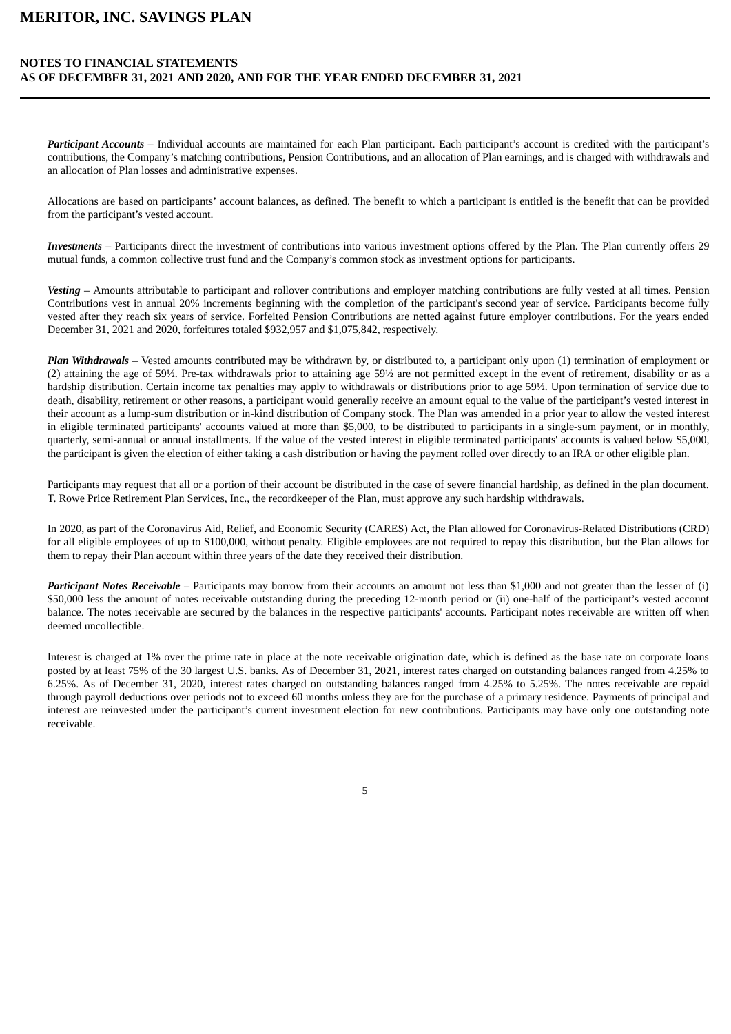### **NOTES TO FINANCIAL STATEMENTS AS OF DECEMBER 31, 2021 AND 2020, AND FOR THE YEAR ENDED DECEMBER 31, 2021**

*Participant Accounts* – Individual accounts are maintained for each Plan participant. Each participant's account is credited with the participant's contributions, the Company's matching contributions, Pension Contributions, and an allocation of Plan earnings, and is charged with withdrawals and an allocation of Plan losses and administrative expenses.

Allocations are based on participants' account balances, as defined. The benefit to which a participant is entitled is the benefit that can be provided from the participant's vested account.

*Investments* – Participants direct the investment of contributions into various investment options offered by the Plan. The Plan currently offers 29 mutual funds, a common collective trust fund and the Company's common stock as investment options for participants.

*Vesting* – Amounts attributable to participant and rollover contributions and employer matching contributions are fully vested at all times. Pension Contributions vest in annual 20% increments beginning with the completion of the participant's second year of service. Participants become fully vested after they reach six years of service. Forfeited Pension Contributions are netted against future employer contributions. For the years ended December 31, 2021 and 2020, forfeitures totaled \$932,957 and \$1,075,842, respectively.

*Plan Withdrawals* – Vested amounts contributed may be withdrawn by, or distributed to, a participant only upon (1) termination of employment or (2) attaining the age of 59½. Pre-tax withdrawals prior to attaining age 59½ are not permitted except in the event of retirement, disability or as a hardship distribution. Certain income tax penalties may apply to withdrawals or distributions prior to age 59½. Upon termination of service due to death, disability, retirement or other reasons, a participant would generally receive an amount equal to the value of the participant's vested interest in their account as a lump-sum distribution or in-kind distribution of Company stock. The Plan was amended in a prior year to allow the vested interest in eligible terminated participants' accounts valued at more than \$5,000, to be distributed to participants in a single-sum payment, or in monthly, quarterly, semi-annual or annual installments. If the value of the vested interest in eligible terminated participants' accounts is valued below \$5,000, the participant is given the election of either taking a cash distribution or having the payment rolled over directly to an IRA or other eligible plan.

Participants may request that all or a portion of their account be distributed in the case of severe financial hardship, as defined in the plan document. T. Rowe Price Retirement Plan Services, Inc., the recordkeeper of the Plan, must approve any such hardship withdrawals.

In 2020, as part of the Coronavirus Aid, Relief, and Economic Security (CARES) Act, the Plan allowed for Coronavirus-Related Distributions (CRD) for all eligible employees of up to \$100,000, without penalty. Eligible employees are not required to repay this distribution, but the Plan allows for them to repay their Plan account within three years of the date they received their distribution.

*Participant Notes Receivable* – Participants may borrow from their accounts an amount not less than \$1,000 and not greater than the lesser of (i) \$50,000 less the amount of notes receivable outstanding during the preceding 12-month period or (ii) one-half of the participant's vested account balance. The notes receivable are secured by the balances in the respective participants' accounts. Participant notes receivable are written off when deemed uncollectible.

Interest is charged at 1% over the prime rate in place at the note receivable origination date, which is defined as the base rate on corporate loans posted by at least 75% of the 30 largest U.S. banks. As of December 31, 2021, interest rates charged on outstanding balances ranged from 4.25% to 6.25%. As of December 31, 2020, interest rates charged on outstanding balances ranged from 4.25% to 5.25%. The notes receivable are repaid through payroll deductions over periods not to exceed 60 months unless they are for the purchase of a primary residence. Payments of principal and interest are reinvested under the participant's current investment election for new contributions. Participants may have only one outstanding note receivable.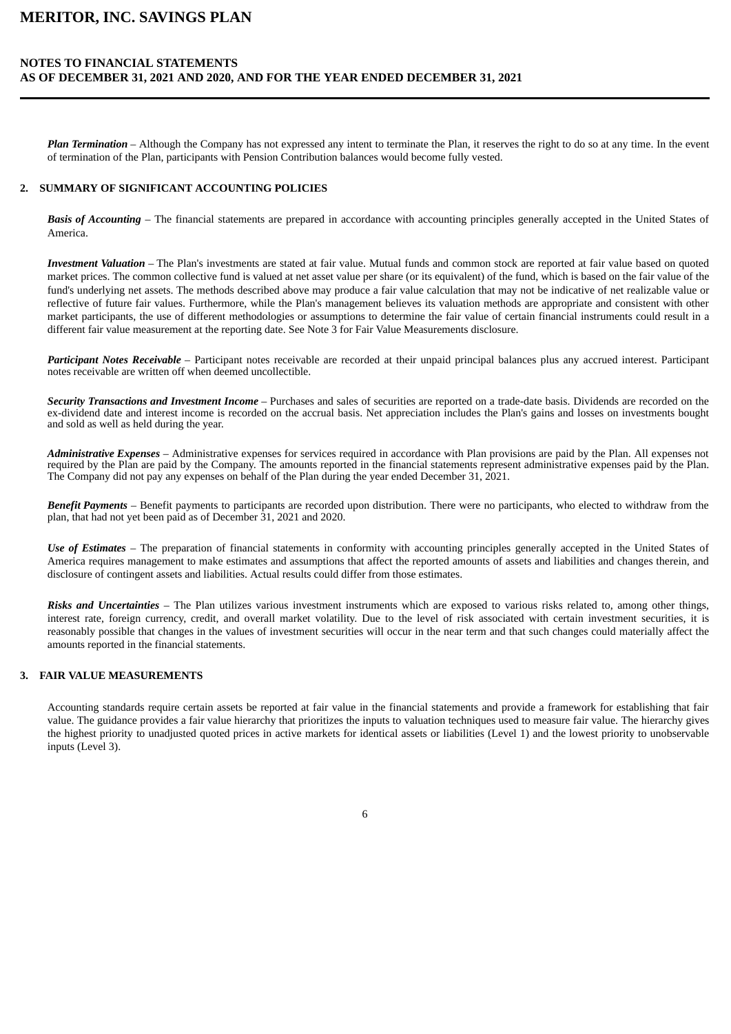*Plan Termination* – Although the Company has not expressed any intent to terminate the Plan, it reserves the right to do so at any time. In the event of termination of the Plan, participants with Pension Contribution balances would become fully vested.

#### **2. SUMMARY OF SIGNIFICANT ACCOUNTING POLICIES**

*Basis of Accounting* – The financial statements are prepared in accordance with accounting principles generally accepted in the United States of America.

*Investment Valuation –* The Plan's investments are stated at fair value. Mutual funds and common stock are reported at fair value based on quoted market prices. The common collective fund is valued at net asset value per share (or its equivalent) of the fund, which is based on the fair value of the fund's underlying net assets. The methods described above may produce a fair value calculation that may not be indicative of net realizable value or reflective of future fair values. Furthermore, while the Plan's management believes its valuation methods are appropriate and consistent with other market participants, the use of different methodologies or assumptions to determine the fair value of certain financial instruments could result in a different fair value measurement at the reporting date. See Note 3 for Fair Value Measurements disclosure.

*Participant Notes Receivable* – Participant notes receivable are recorded at their unpaid principal balances plus any accrued interest. Participant notes receivable are written off when deemed uncollectible.

*Security Transactions and Investment Income* – Purchases and sales of securities are reported on a trade-date basis. Dividends are recorded on the ex-dividend date and interest income is recorded on the accrual basis. Net appreciation includes the Plan's gains and losses on investments bought and sold as well as held during the year.

*Administrative Expenses* – Administrative expenses for services required in accordance with Plan provisions are paid by the Plan. All expenses not required by the Plan are paid by the Company. The amounts reported in the financial statements represent administrative expenses paid by the Plan. The Company did not pay any expenses on behalf of the Plan during the year ended December 31, 2021.

*Benefit Payments* – Benefit payments to participants are recorded upon distribution. There were no participants, who elected to withdraw from the plan, that had not yet been paid as of December 31, 2021 and 2020.

*Use of Estimates* – The preparation of financial statements in conformity with accounting principles generally accepted in the United States of America requires management to make estimates and assumptions that affect the reported amounts of assets and liabilities and changes therein, and disclosure of contingent assets and liabilities. Actual results could differ from those estimates.

*Risks and Uncertainties* – The Plan utilizes various investment instruments which are exposed to various risks related to, among other things, interest rate, foreign currency, credit, and overall market volatility. Due to the level of risk associated with certain investment securities, it is reasonably possible that changes in the values of investment securities will occur in the near term and that such changes could materially affect the amounts reported in the financial statements.

### **3. FAIR VALUE MEASUREMENTS**

Accounting standards require certain assets be reported at fair value in the financial statements and provide a framework for establishing that fair value. The guidance provides a fair value hierarchy that prioritizes the inputs to valuation techniques used to measure fair value. The hierarchy gives the highest priority to unadjusted quoted prices in active markets for identical assets or liabilities (Level 1) and the lowest priority to unobservable inputs (Level 3).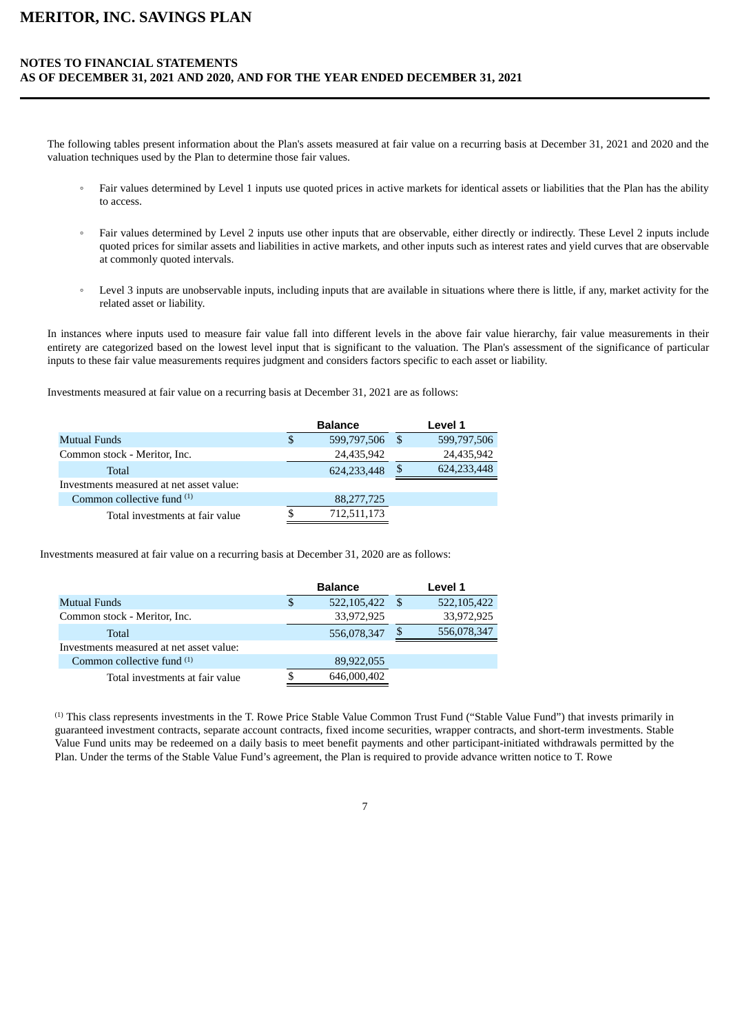### **NOTES TO FINANCIAL STATEMENTS AS OF DECEMBER 31, 2021 AND 2020, AND FOR THE YEAR ENDED DECEMBER 31, 2021**

The following tables present information about the Plan's assets measured at fair value on a recurring basis at December 31, 2021 and 2020 and the valuation techniques used by the Plan to determine those fair values.

- Fair values determined by Level 1 inputs use quoted prices in active markets for identical assets or liabilities that the Plan has the ability to access.
- Fair values determined by Level 2 inputs use other inputs that are observable, either directly or indirectly. These Level 2 inputs include quoted prices for similar assets and liabilities in active markets, and other inputs such as interest rates and yield curves that are observable at commonly quoted intervals.
- Level 3 inputs are unobservable inputs, including inputs that are available in situations where there is little, if any, market activity for the related asset or liability.

In instances where inputs used to measure fair value fall into different levels in the above fair value hierarchy, fair value measurements in their entirety are categorized based on the lowest level input that is significant to the valuation. The Plan's assessment of the significance of particular inputs to these fair value measurements requires judgment and considers factors specific to each asset or liability.

Investments measured at fair value on a recurring basis at December 31, 2021 are as follows:

|                                          | <b>Balance</b>    |     | Level 1     |
|------------------------------------------|-------------------|-----|-------------|
| Mutual Funds                             | \$<br>599,797,506 | -\$ | 599,797,506 |
| Common stock - Meritor, Inc.             | 24,435,942        |     | 24,435,942  |
| Total                                    | 624,233,448       | \$  | 624,233,448 |
| Investments measured at net asset value: |                   |     |             |
| Common collective fund $(1)$             | 88,277,725        |     |             |
| Total investments at fair value          | 712,511,173       |     |             |

Investments measured at fair value on a recurring basis at December 31, 2020 are as follows:

|                                          | <b>Balance</b> |             |      | Level 1     |
|------------------------------------------|----------------|-------------|------|-------------|
| <b>Mutual Funds</b>                      | \$             | 522,105,422 | - \$ | 522,105,422 |
| Common stock - Meritor, Inc.             |                | 33,972,925  |      | 33,972,925  |
| Total                                    |                | 556,078,347 | \$   | 556,078,347 |
| Investments measured at net asset value: |                |             |      |             |
| Common collective fund $(1)$             |                | 89,922,055  |      |             |
| Total investments at fair value          |                | 646,000,402 |      |             |

 $<sup>(1)</sup>$  This class represents investments in the T. Rowe Price Stable Value Common Trust Fund ("Stable Value Fund") that invests primarily in</sup> guaranteed investment contracts, separate account contracts, fixed income securities, wrapper contracts, and short-term investments. Stable Value Fund units may be redeemed on a daily basis to meet benefit payments and other participant-initiated withdrawals permitted by the Plan. Under the terms of the Stable Value Fund's agreement, the Plan is required to provide advance written notice to T. Rowe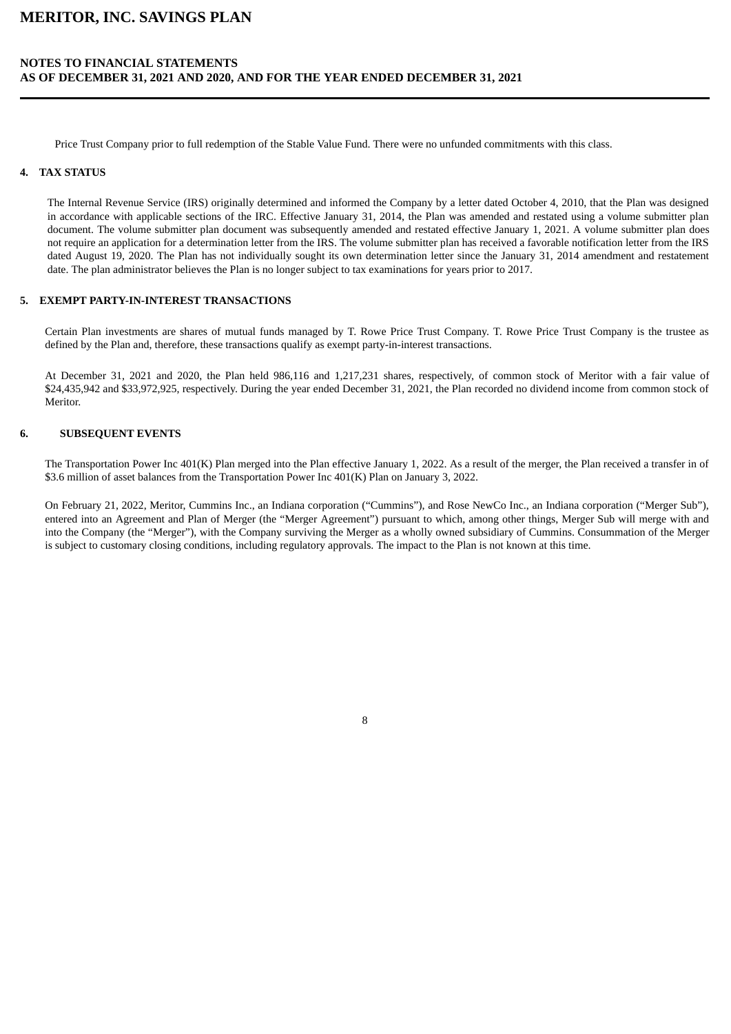Price Trust Company prior to full redemption of the Stable Value Fund. There were no unfunded commitments with this class.

#### **4. TAX STATUS**

The Internal Revenue Service (IRS) originally determined and informed the Company by a letter dated October 4, 2010, that the Plan was designed in accordance with applicable sections of the IRC. Effective January 31, 2014, the Plan was amended and restated using a volume submitter plan document. The volume submitter plan document was subsequently amended and restated effective January 1, 2021. A volume submitter plan does not require an application for a determination letter from the IRS. The volume submitter plan has received a favorable notification letter from the IRS dated August 19, 2020. The Plan has not individually sought its own determination letter since the January 31, 2014 amendment and restatement date. The plan administrator believes the Plan is no longer subject to tax examinations for years prior to 2017.

#### **5. EXEMPT PARTY-IN-INTEREST TRANSACTIONS**

Certain Plan investments are shares of mutual funds managed by T. Rowe Price Trust Company. T. Rowe Price Trust Company is the trustee as defined by the Plan and, therefore, these transactions qualify as exempt party-in-interest transactions.

At December 31, 2021 and 2020, the Plan held 986,116 and 1,217,231 shares, respectively, of common stock of Meritor with a fair value of \$24,435,942 and \$33,972,925, respectively. During the year ended December 31, 2021, the Plan recorded no dividend income from common stock of Meritor.

#### **6. SUBSEQUENT EVENTS**

The Transportation Power Inc 401(K) Plan merged into the Plan effective January 1, 2022. As a result of the merger, the Plan received a transfer in of \$3.6 million of asset balances from the Transportation Power Inc 401(K) Plan on January 3, 2022.

On February 21, 2022, Meritor, Cummins Inc., an Indiana corporation ("Cummins"), and Rose NewCo Inc., an Indiana corporation ("Merger Sub"), entered into an Agreement and Plan of Merger (the "Merger Agreement") pursuant to which, among other things, Merger Sub will merge with and into the Company (the "Merger"), with the Company surviving the Merger as a wholly owned subsidiary of Cummins. Consummation of the Merger is subject to customary closing conditions, including regulatory approvals. The impact to the Plan is not known at this time.

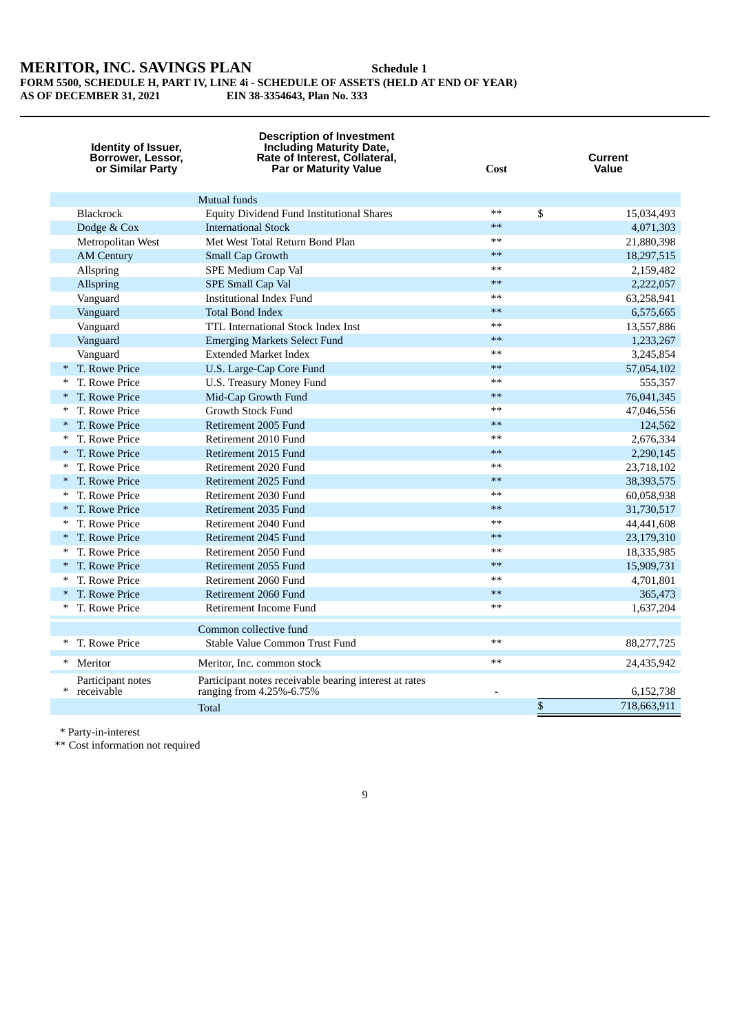### **MERITOR, INC. SAVINGS PLAN** Schedule 1 **FORM 5500, SCHEDULE H, PART IV, LINE 4i - SCHEDULE OF ASSETS (HELD AT END OF YEAR) AS OF DECEMBER 31, 2021 EIN 38-3354643, Plan No. 333**

| Identity of Issuer,<br>Borrower, Lessor,<br>or Similar Party | <b>Description of Investment</b><br><b>Including Maturity Date,</b><br>Rate of Interest, Collateral,<br><b>Par or Maturity Value</b> | Cost  | <b>Current</b><br>Value |
|--------------------------------------------------------------|--------------------------------------------------------------------------------------------------------------------------------------|-------|-------------------------|
|                                                              | Mutual funds                                                                                                                         |       |                         |
| <b>Blackrock</b>                                             | <b>Equity Dividend Fund Institutional Shares</b>                                                                                     | $***$ | \$<br>15,034,493        |
| Dodge & Cox                                                  | <b>International Stock</b>                                                                                                           | $***$ | 4,071,303               |
| Metropolitan West                                            | Met West Total Return Bond Plan                                                                                                      | $***$ | 21,880,398              |
| <b>AM Century</b>                                            | Small Cap Growth                                                                                                                     | $***$ | 18,297,515              |
| Allspring                                                    | SPE Medium Cap Val                                                                                                                   | $**$  | 2,159,482               |
| Allspring                                                    | SPE Small Cap Val                                                                                                                    | $***$ | 2,222,057               |
| Vanguard                                                     | <b>Institutional Index Fund</b>                                                                                                      | $***$ | 63,258,941              |
| Vanguard                                                     | <b>Total Bond Index</b>                                                                                                              | $***$ | 6,575,665               |
| Vanguard                                                     | TTL International Stock Index Inst                                                                                                   | $***$ | 13,557,886              |
| Vanguard                                                     | <b>Emerging Markets Select Fund</b>                                                                                                  | $***$ | 1,233,267               |
| Vanguard                                                     | <b>Extended Market Index</b>                                                                                                         | $***$ | 3,245,854               |
| T. Rowe Price<br>$\ast$                                      | U.S. Large-Cap Core Fund                                                                                                             | $***$ | 57,054,102              |
| T. Rowe Price<br>$\ast$                                      | <b>U.S. Treasury Money Fund</b>                                                                                                      | $***$ | 555,357                 |
| T. Rowe Price                                                | Mid-Cap Growth Fund                                                                                                                  | $***$ | 76,041,345              |
| T. Rowe Price<br>*                                           | <b>Growth Stock Fund</b>                                                                                                             | $***$ | 47,046,556              |
| T. Rowe Price<br>$\ast$                                      | Retirement 2005 Fund                                                                                                                 | $***$ | 124,562                 |
| T. Rowe Price<br>$\ast$                                      | Retirement 2010 Fund                                                                                                                 | $***$ | 2,676,334               |
| T. Rowe Price                                                | Retirement 2015 Fund                                                                                                                 | $***$ | 2,290,145               |
| T. Rowe Price<br>$\ast$                                      | Retirement 2020 Fund                                                                                                                 | $***$ | 23,718,102              |
| T. Rowe Price<br>$\ast$                                      | Retirement 2025 Fund                                                                                                                 | $***$ | 38,393,575              |
| T. Rowe Price<br>$\ast$                                      | Retirement 2030 Fund                                                                                                                 | $***$ | 60,058,938              |
| $\ast$<br>T. Rowe Price                                      | Retirement 2035 Fund                                                                                                                 | $***$ | 31,730,517              |
| T. Rowe Price<br>$\ast$                                      | Retirement 2040 Fund                                                                                                                 | $***$ | 44,441,608              |
| T. Rowe Price                                                | Retirement 2045 Fund                                                                                                                 | $***$ | 23,179,310              |
| T. Rowe Price<br>$\ast$                                      | Retirement 2050 Fund                                                                                                                 | $***$ | 18,335,985              |
| T. Rowe Price<br>$\ast$                                      | Retirement 2055 Fund                                                                                                                 | $***$ | 15,909,731              |
| $\ast$<br>T. Rowe Price                                      | Retirement 2060 Fund                                                                                                                 | $***$ | 4,701,801               |
| T. Rowe Price                                                | Retirement 2060 Fund                                                                                                                 | $**$  | 365,473                 |
| T. Rowe Price<br>$\ast$                                      | Retirement Income Fund                                                                                                               | $**$  | 1,637,204               |
|                                                              | Common collective fund                                                                                                               |       |                         |
| T. Rowe Price<br>$\ast$                                      | Stable Value Common Trust Fund                                                                                                       | $***$ | 88,277,725              |
| $\ast$<br>Meritor                                            | Meritor, Inc. common stock                                                                                                           | $***$ | 24,435,942              |
| Participant notes<br>receivable<br>*                         | Participant notes receivable bearing interest at rates<br>ranging from 4.25%-6.75%                                                   |       | 6,152,738               |
|                                                              | <b>Total</b>                                                                                                                         |       | \$<br>718,663,911       |

\* Party-in-interest

\*\* Cost information not required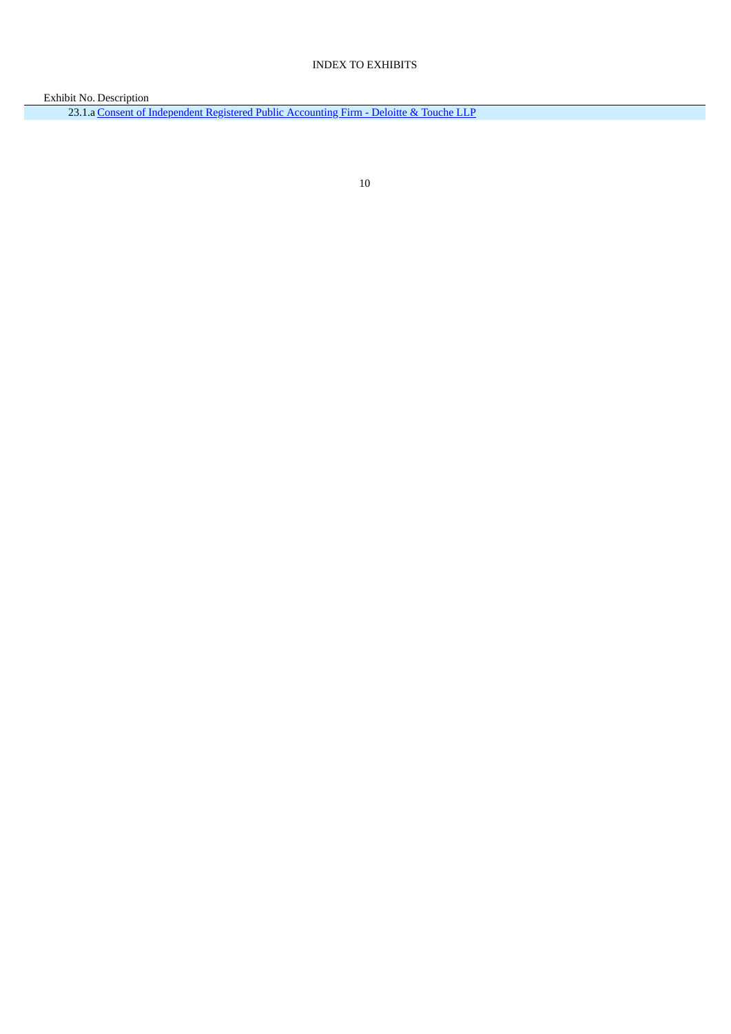## INDEX TO EXHIBITS

Exhibit No. Description

23.1.a Consent of [Independent](#page-13-0) Registered Public Accounting Firm - Deloitte & Touche LLP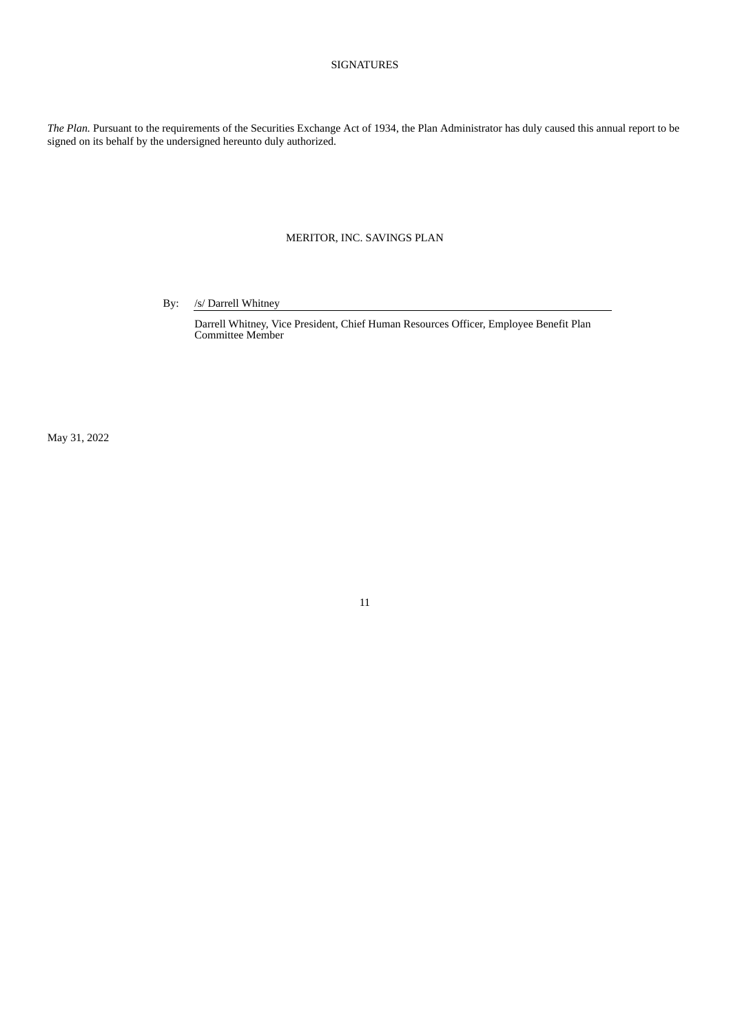### SIGNATURES

*The Plan.* Pursuant to the requirements of the Securities Exchange Act of 1934, the Plan Administrator has duly caused this annual report to be signed on its behalf by the undersigned hereunto duly authorized.

#### MERITOR, INC. SAVINGS PLAN

By: /s/ Darrell Whitney

Darrell Whitney, Vice President, Chief Human Resources Officer, Employee Benefit Plan Committee Member

May 31, 2022